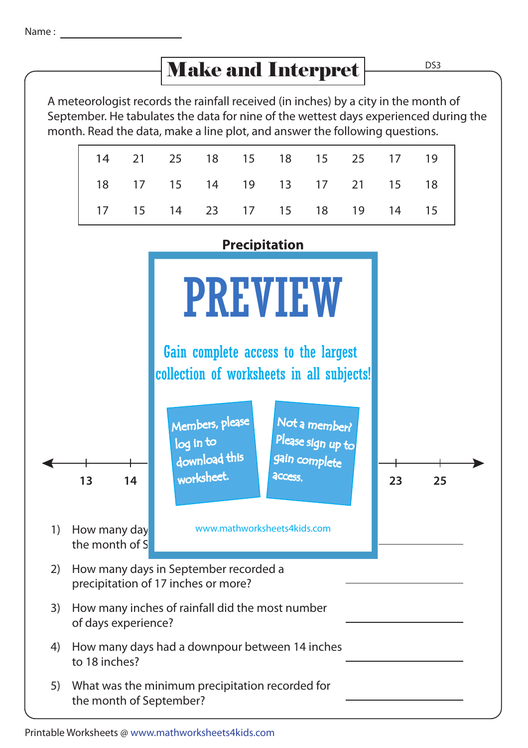## Make and Interpret

D<sub>S</sub>3

| 14 21 25 18 15 18 15 25 17 19 |  |  |  |  |  |
|-------------------------------|--|--|--|--|--|
| 18 17 15 14 19 13 17 21 15 18 |  |  |  |  |  |
| 17 15 14 23 17 15 18 19 14 15 |  |  |  |  |  |